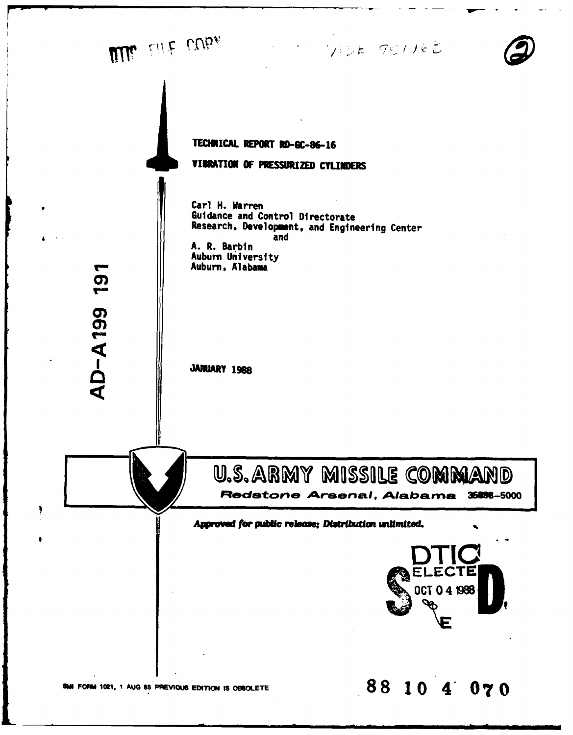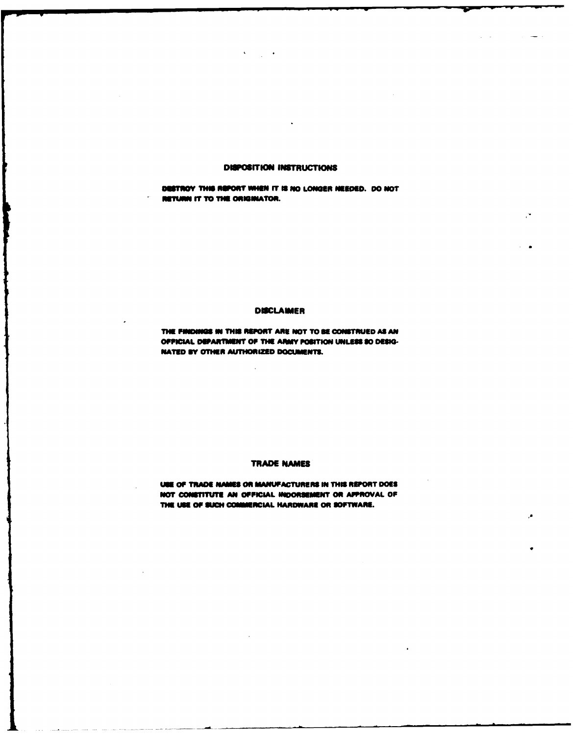## **DISPOSITION INSTRUCTIONS**

DESTROY THIS REPORT WHEN IT IS NO LONGER NEEDED. DO NOT RETURN IT TO THE ORIGINATOR.

## **DISCLAIMER**

THE FINDINGS IN THIS REPORT ARE NOT TO BE CONSTRUED AS AN OFFICIAL DEPARTMENT OF THE ARMY POSITION UNLESS SO DESIG-NATED BY OTHER AUTHORIZED DOCUMENTS.

# **TRADE NAMES**

USE OF TRADE NAMES OR MANUFACTURERS IN THIS REPORT DOES NOT CONSTITUTE AN OFFICIAL INDORSEMENT OR APPROVAL OF THE USE OF SUCH COMMERCIAL HARDWARE OR SOFTWARE.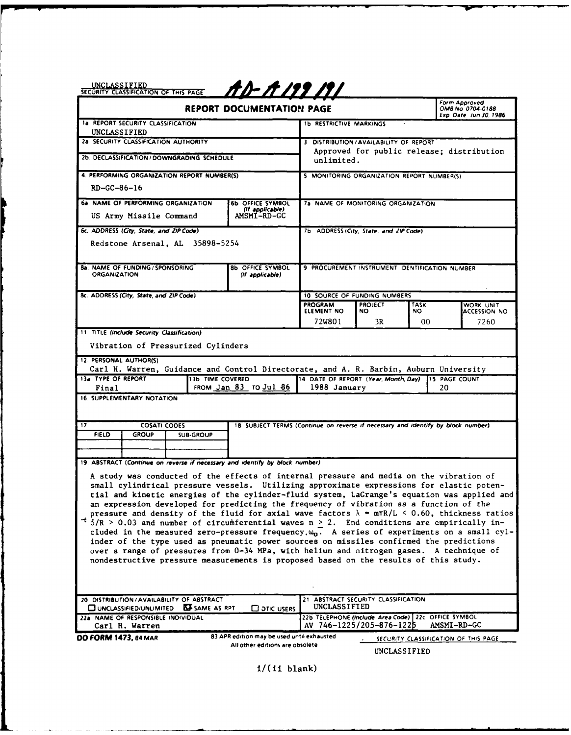SECUR LASIFIPAGE SAW LS W O **UF-.-ISForm** *Approved* REPORT **DOCUMENTATION PAGE** OMe No *0704-0188*

| AD-A 199 191 |  |  |  |
|--------------|--|--|--|
|              |  |  |  |

| <b>REPORT DOCUMENTATION PAGE</b>                                                                                                                                                                                                                                                                                                                                                                                                                                                                                                                                                                                                                                                                                                                                                                                                                                                                                                                                                          |                                                                                  |                                                            |                | Form Approved<br>OMB No. 0704-0188<br>Exp. Date Jun 30, 1986 |                                  |
|-------------------------------------------------------------------------------------------------------------------------------------------------------------------------------------------------------------------------------------------------------------------------------------------------------------------------------------------------------------------------------------------------------------------------------------------------------------------------------------------------------------------------------------------------------------------------------------------------------------------------------------------------------------------------------------------------------------------------------------------------------------------------------------------------------------------------------------------------------------------------------------------------------------------------------------------------------------------------------------------|----------------------------------------------------------------------------------|------------------------------------------------------------|----------------|--------------------------------------------------------------|----------------------------------|
| 1a REPORT SECURITY CLASSIFICATION<br>UNCLASSIFIED                                                                                                                                                                                                                                                                                                                                                                                                                                                                                                                                                                                                                                                                                                                                                                                                                                                                                                                                         | <b>1b RESTRICTIVE MARKINGS</b>                                                   |                                                            |                |                                                              |                                  |
| 2a SECURITY CLASSIFICATION AUTHORITY                                                                                                                                                                                                                                                                                                                                                                                                                                                                                                                                                                                                                                                                                                                                                                                                                                                                                                                                                      |                                                                                  | 3 DISTRIBUTION/AVAILABILITY OF REPORT                      |                |                                                              |                                  |
| 2b. DECLASSIFICATION / DOWNGRADING SCHEDULE                                                                                                                                                                                                                                                                                                                                                                                                                                                                                                                                                                                                                                                                                                                                                                                                                                                                                                                                               |                                                                                  | Approved for public release; distribution<br>unlimited.    |                |                                                              |                                  |
| 4. PERFORMING ORGANIZATION REPORT NUMBER(S)                                                                                                                                                                                                                                                                                                                                                                                                                                                                                                                                                                                                                                                                                                                                                                                                                                                                                                                                               |                                                                                  | 5 MONITORING ORGANIZATION REPORT NUMBER(S)                 |                |                                                              |                                  |
| $RD-GC-86-16$                                                                                                                                                                                                                                                                                                                                                                                                                                                                                                                                                                                                                                                                                                                                                                                                                                                                                                                                                                             |                                                                                  |                                                            |                |                                                              |                                  |
| 6a. NAME OF PERFORMING ORGANIZATION                                                                                                                                                                                                                                                                                                                                                                                                                                                                                                                                                                                                                                                                                                                                                                                                                                                                                                                                                       | 6b OFFICE SYMBOL<br>(If applicable)                                              | 7a NAME OF MONITORING ORGANIZATION                         |                |                                                              |                                  |
| US Army Missile Command                                                                                                                                                                                                                                                                                                                                                                                                                                                                                                                                                                                                                                                                                                                                                                                                                                                                                                                                                                   | AMSMI-RD-GC                                                                      |                                                            |                |                                                              |                                  |
| 6c. ADDRESS (City, State, and ZIP Code)<br>Redstone Arsenal, AL 35898-5254                                                                                                                                                                                                                                                                                                                                                                                                                                                                                                                                                                                                                                                                                                                                                                                                                                                                                                                |                                                                                  | 7b ADDRESS (City, State, and ZIP Code)                     |                |                                                              |                                  |
| 8a. NAME OF FUNDING / SPONSORING<br><b>ORGANIZATION</b>                                                                                                                                                                                                                                                                                                                                                                                                                                                                                                                                                                                                                                                                                                                                                                                                                                                                                                                                   | <b>8b OFFICE SYMBOL</b><br>(If applicable)                                       | 9 PROCUREMENT INSTRUMENT IDENTIFICATION NUMBER             |                |                                                              |                                  |
| 8c. ADDRESS (City, State, and ZIP Code)                                                                                                                                                                                                                                                                                                                                                                                                                                                                                                                                                                                                                                                                                                                                                                                                                                                                                                                                                   |                                                                                  | 10. SOURCE OF FUNDING NUMBERS                              |                |                                                              |                                  |
|                                                                                                                                                                                                                                                                                                                                                                                                                                                                                                                                                                                                                                                                                                                                                                                                                                                                                                                                                                                           |                                                                                  | <b>PROGRAM</b>                                             | <b>PROJECT</b> | TASK<br>NO.                                                  | WORK UNIT<br><b>ACCESSION NO</b> |
|                                                                                                                                                                                                                                                                                                                                                                                                                                                                                                                                                                                                                                                                                                                                                                                                                                                                                                                                                                                           |                                                                                  | ELEMENT NO<br>72W801                                       | NO.<br>3R      | 00                                                           | 7260                             |
| 11 TITLE (Include Security Classification)                                                                                                                                                                                                                                                                                                                                                                                                                                                                                                                                                                                                                                                                                                                                                                                                                                                                                                                                                |                                                                                  |                                                            |                |                                                              |                                  |
| Vibration of Pressurized Cylinders                                                                                                                                                                                                                                                                                                                                                                                                                                                                                                                                                                                                                                                                                                                                                                                                                                                                                                                                                        |                                                                                  |                                                            |                |                                                              |                                  |
| 12. PERSONAL AUTHOR(S)<br>Carl H. Warren, Guidance and Control Directorate, and A. R. Barbin, Auburn University                                                                                                                                                                                                                                                                                                                                                                                                                                                                                                                                                                                                                                                                                                                                                                                                                                                                           |                                                                                  |                                                            |                |                                                              |                                  |
| 13a TYPE OF REPORT<br><b>13b TIME COVERED</b>                                                                                                                                                                                                                                                                                                                                                                                                                                                                                                                                                                                                                                                                                                                                                                                                                                                                                                                                             |                                                                                  | 14 DATE OF REPORT (Year, Month, Day) 15 PAGE COUNT         |                |                                                              |                                  |
| Final<br>16. SUPPLEMENTARY NOTATION                                                                                                                                                                                                                                                                                                                                                                                                                                                                                                                                                                                                                                                                                                                                                                                                                                                                                                                                                       | FROM Jan 83 TO Jul 86                                                            | 1988 January                                               |                |                                                              | 20                               |
|                                                                                                                                                                                                                                                                                                                                                                                                                                                                                                                                                                                                                                                                                                                                                                                                                                                                                                                                                                                           |                                                                                  |                                                            |                |                                                              |                                  |
| 17.<br><b>COSATI CODES</b>                                                                                                                                                                                                                                                                                                                                                                                                                                                                                                                                                                                                                                                                                                                                                                                                                                                                                                                                                                | 18 SUBJECT TERMS (Continue on reverse if necessary and identify by block number) |                                                            |                |                                                              |                                  |
| <b>FIELD</b><br><b>GROUP</b><br><b>SUB-GROUP</b>                                                                                                                                                                                                                                                                                                                                                                                                                                                                                                                                                                                                                                                                                                                                                                                                                                                                                                                                          |                                                                                  |                                                            |                |                                                              |                                  |
|                                                                                                                                                                                                                                                                                                                                                                                                                                                                                                                                                                                                                                                                                                                                                                                                                                                                                                                                                                                           |                                                                                  |                                                            |                |                                                              |                                  |
| 19. ABSTRACT (Continue on reverse if necessary and identify by block number)                                                                                                                                                                                                                                                                                                                                                                                                                                                                                                                                                                                                                                                                                                                                                                                                                                                                                                              |                                                                                  |                                                            |                |                                                              |                                  |
| A study was conducted of the effects of internal pressure and media on the vibration of<br>small cylindrical pressure vessels. Utilizing approximate expressions for elastic poten-<br>tial and kinetic energies of the cylinder-fluid system, LaGrange's equation was applied and<br>an expression developed for predicting the frequency of vibration as a function of the<br>pressure and density of the fluid for axial wave factors $\lambda$ = m $\pi R/L$ < 0.60, thickness ratios<br>$\tau$ $\delta/R$ > 0.03 and number of circumferential waves n > 2. End conditions are empirically in-<br>cluded in the measured zero-pressure frequency. $\omega_0$ . A series of experiments on a small cyl-<br>inder of the type used as pneumatic power sources on missiles confirmed the predictions<br>over a range of pressures from 0-34 MPa, with helium and nitrogen gases. A technique of<br>nondestructive pressure measurements is proposed based on the results of this study. |                                                                                  |                                                            |                |                                                              |                                  |
| 20 DISTRIBUTION / AVAILABILITY OF ABSTRACT<br><b>BASAME AS RPT</b><br>UNCLASSIFIED/UNLIMITED                                                                                                                                                                                                                                                                                                                                                                                                                                                                                                                                                                                                                                                                                                                                                                                                                                                                                              | <b>CO OTIC USERS</b>                                                             | 21 ABSTRACT SECURITY CLASSIFICATION<br><b>UNCLASSIFIED</b> |                |                                                              |                                  |
| 22b TELEPHONE (Include Area Code) 22c OFFICE SYMBOL<br>22a. NAME OF RESPONSIBLE INDIVIDUAL<br>AV 746-1225/205-876-1225<br>Carl H. Warren                                                                                                                                                                                                                                                                                                                                                                                                                                                                                                                                                                                                                                                                                                                                                                                                                                                  |                                                                                  |                                                            | AMSMI-RD-GC    |                                                              |                                  |
| 83 APR edition may be used until exhausted<br><b>DD FORM 1473, 84 MAR</b><br>SECURITY CLASSIFICATION OF THIS PAGE                                                                                                                                                                                                                                                                                                                                                                                                                                                                                                                                                                                                                                                                                                                                                                                                                                                                         |                                                                                  |                                                            |                |                                                              |                                  |
|                                                                                                                                                                                                                                                                                                                                                                                                                                                                                                                                                                                                                                                                                                                                                                                                                                                                                                                                                                                           | All other editions are obsolete                                                  |                                                            |                | UNCLASSIFIED                                                 |                                  |

i/(ii blank)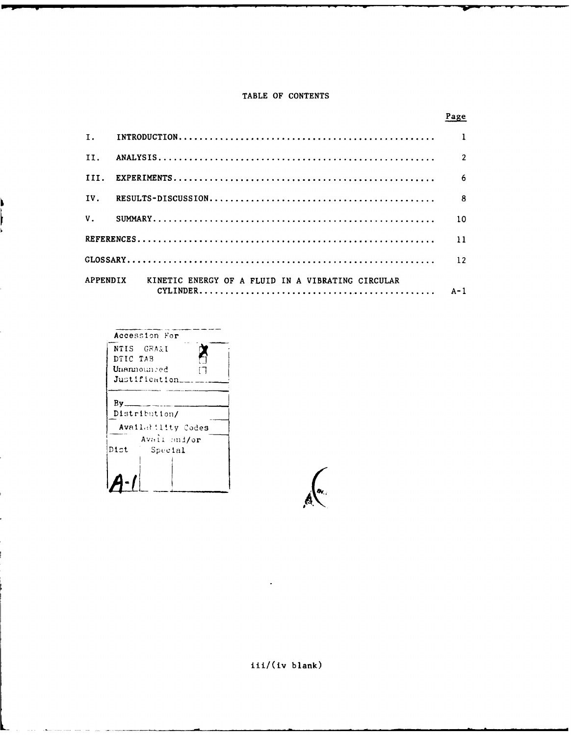# TABLE OF CONTENTS

|     |                                                            | Page            |
|-----|------------------------------------------------------------|-----------------|
|     |                                                            |                 |
| TT. |                                                            | $\overline{2}$  |
|     |                                                            | -6              |
|     |                                                            |                 |
|     |                                                            | 10 <sup>°</sup> |
|     |                                                            | 11              |
|     |                                                            | 12              |
|     | APPENDIX KINETIC ENERGY OF A FLUID IN A VIBRATING CIRCULAR |                 |

| Accession For                              |
|--------------------------------------------|
| NTIS GRA&I                                 |
| DTIC TAB                                   |
| Unannounced                                |
| Justification                              |
| By_<br>Distribution/<br>Availability Codes |
| Avail and/or                               |
| Dist<br>Special                            |
|                                            |

ì I i.

iii/(iv blank)

 $\left(\begin{matrix} a & b \\ c & d \end{matrix}\right)$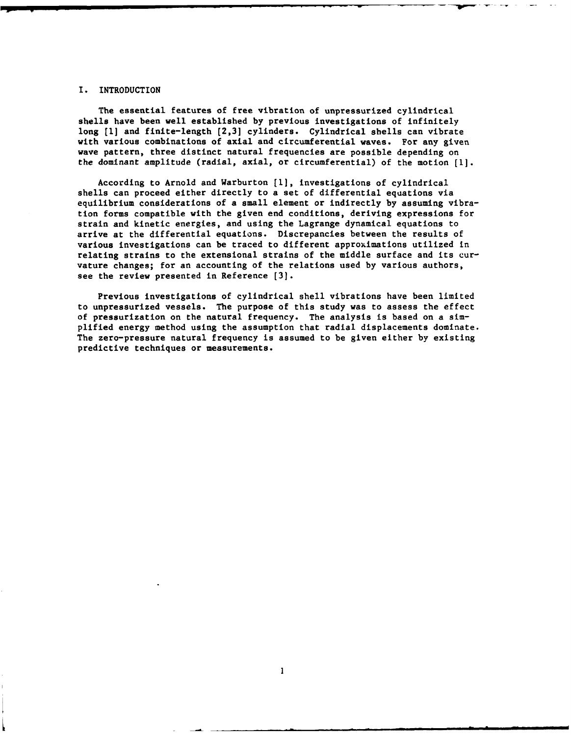## I. INTRODUCTION

The essential features of free vibration of unpressurized cylindrical shells have been well established by previous investigations of infinitely long **[1]** and finite-length (2,3] cylinders. Cylindrical shells can vibrate with various combinations of axial and circumferential waves. For any given wave pattern, three distinct natural frequencies are possible depending on the dominant amplitude (radial, axial, or circumferential) of the motion [I].

According to Arnold and Warburton **(1],** investigations of cylindrical shells can proceed either directly to a set of differential equations via equilibrium considerations of a small element or indirectly by assuming vibration forms compatible with the given end conditions, deriving expressions for strain and kinetic energies, and using the Lagrange dynamical equations to arrive at the differential equations. Discrepancies between the results of various investigations can be traced to different approximations utilized in relating strains to the extensional strains of the middle surface and its curvature changes; for an accounting of the relations used by various authors, see the review presented in Reference [3].

Previous investigations of cylindrical shell vibrations have been limited to unpressurized vessels. The purpose of this study was to assess the effect of pressurization on the natural frequency. The analysis is based on a simplified energy method using the assumption that radial displacements dominate. The zero-pressure natural frequency is assumed to be given either by existing predictive techniques or measurements.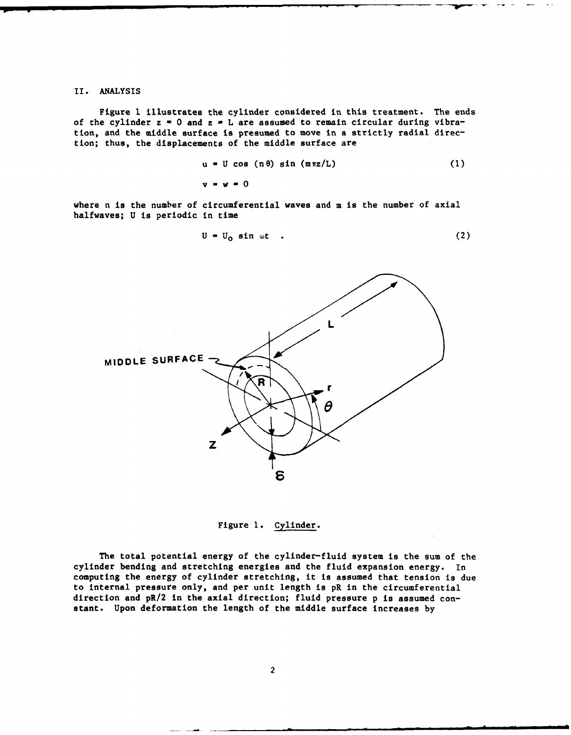### II. ANALYSIS

Figure **1** illustrates the cylinder considered in this treatment. The ends of the cylinder  $z = 0$  and  $z = L$  are assumed to remain circular during vibration, and the middle surface is presumed to move in a strictly radial direction; thus, the displacements of the middle surface are

$$
u = U \cos (\pi \theta) \sin (\pi \pi z/L) \qquad (1)
$$

$$
\mathbf{v} = \mathbf{w} = 0
$$

where n is the number of circumferential waves and m is the number of axial halfwaves; U is periodic in time

$$
U = U_0 \sin \omega t \qquad (2)
$$



Figure **1.** Cylinder.

The total potential energy of the cylinder-fluid system is the sum of the cylinder bending and stretching energies and the fluid expansion energy. In computing the energy of cylinder stretching, it is assumed that tension is due to internal pressure only, and per unit length is pR in the circumferential direction and pR/2 in the axial direction; fluid pressure p is assumed constant. Upon deformation the length of the middle surface increases by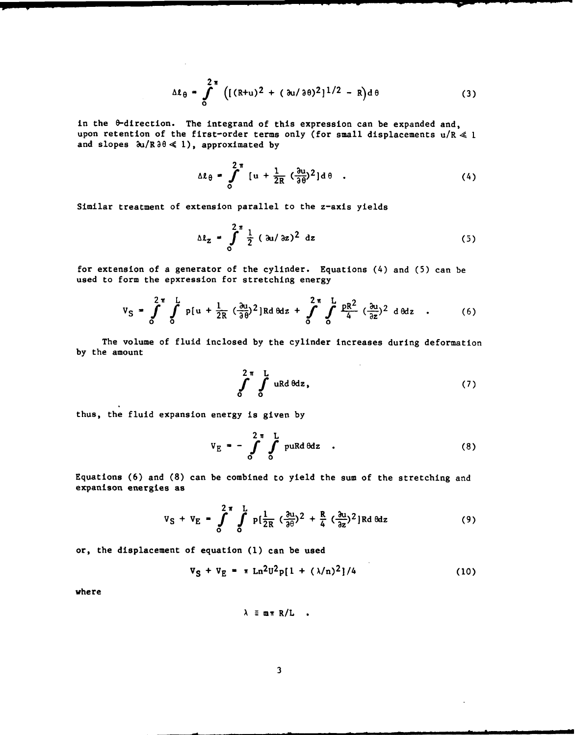$$
\Delta \ell_{\theta} = \int_{0}^{2\pi} \left( [ (R+u)^2 + ( \partial u / \partial \theta)^2 ]^{1/2} - R \right) d\theta
$$
 (3)

in the 0-direction. The integrand of this expression can be expanded and, upon retention of the first-order terms only (for small displacements  $u/R \ll 1$ and slopes  $\partial u / R \partial \theta \ll 1$ ), approximated by

$$
\Delta \ell_{\theta} = \int_{0}^{2\pi} [u + \frac{1}{2R} (\frac{\partial u}{\partial \theta})^2] d\theta
$$
 (4)

Similar treatment of extension parallel to the z-axis yields

$$
\Delta l_z = \int_0^{2\pi} \frac{1}{2} (a_1/a_2)^2 dz
$$
 (5)

for extension of a generator of the cylinder. Equations (4) and (5) can be used to form the epxression for stretching energy

$$
V_S = \int_0^{2\pi} \int_0^L p[u + \frac{1}{2R} (\frac{\partial u}{\partial \theta})^2] R d\theta dz + \int_0^{2\pi} \int_0^L \frac{PR^2}{4} (\frac{\partial u}{\partial z})^2 d\theta dz
$$
 (6)

The volume of fluid inclosed by the cylinder increases during deformation by the amount

$$
\int_{0}^{2\pi} \int_{0}^{L} uRd\theta dz, \qquad (7)
$$

thus, the fluid expansion energy is given by

$$
V_E = -\int_0^{2\pi} \int_0^L puRd\theta dz
$$
 (8)

Equations (6) and (8) can be combined to yield the sum of the stretching and expanison energies as

$$
V_S + V_E = \int_0^2 \int_0^{\pi} \int_0^L p\left(\frac{1}{2R} \left(\frac{\partial u}{\partial \theta}\right)^2 + \frac{R}{4} \left(\frac{\partial u}{\partial z}\right)^2\right) R d\theta dz
$$
 (9)

or, the displacement of equation **(1)** can be used

$$
V_S + V_E = \pi Ln^2 U^2 p[1 + (\lambda/n)^2]/4
$$
 (10)

where

$$
\lambda \equiv m \pi R/L .
$$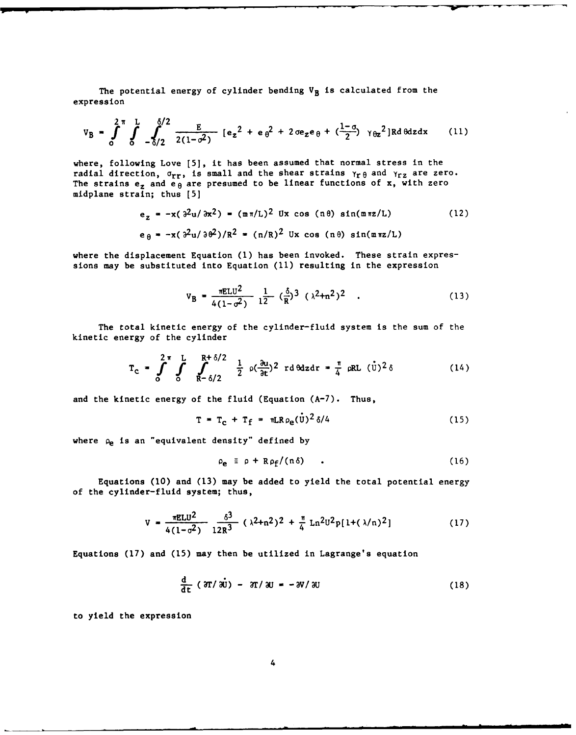The potential energy of cylinder bending  $V_B$  is calculated from the expression

$$
V_{B} = \int_{0}^{2\pi} \int_{0}^{L} \int_{-\delta/2}^{\delta/2} \frac{E}{2(1-\sigma^{2})} [e_{z}^{2} + e_{\theta}^{2} + 2\sigma e_{z}e_{\theta} + (\frac{1-\sigma}{2}) \gamma_{\theta z}^{2}] R d\theta dz dx
$$
 (11)

where, following Love [5], it has been assumed that normal stress in the radial direction,  $\sigma_{rr}$ , is small and the shear strains  $\gamma_{r\theta}$  and  $\gamma_{rz}$  are zero. The strains  $e_z$  and  $e_\theta$  are presumed to be linear functions of x, with zero midplane strain; thus [5]

$$
e_z = -x(\partial^2 u/\partial x^2) = (m\pi/L)^2 \text{ Ux } \cos(\pi\theta) \sin(m\pi z/L)
$$
 (12)  

$$
e_{\theta} = -x(\partial^2 u/\partial \theta^2)/R^2 = (n/R)^2 \text{ Ux } \cos(\pi\theta) \sin(m\pi z/L)
$$

where the displacement Equation **(1)** has been invoked. These strain expressions may be substituted into Equation **(11)** resulting in the expression

$$
V_{B} = \frac{\pi E L U^{2}}{4(1 - \sigma^{2})} \frac{1}{12} (\frac{\delta}{R})^{3} (\lambda^{2} + n^{2})^{2} . \qquad (13)
$$

The total kinetic energy of the cylinder-fluid system is the sum of the kinetic energy of the cylinder

$$
T_c = \int_0^{2\pi} \int_0^L \int_{R-\delta/2}^{R+\delta/2} \frac{1}{2} \rho(\frac{\partial u}{\partial t})^2 r d\theta dz dr = \frac{\pi}{4} \rho R L (U)^2 \delta
$$
 (14)

and the kinetic energy of the fluid (Equation (A-7). Thus,

$$
T = T_c + T_f = \pi LR \rho_e(\dot{U})^2 \delta/4 \qquad (15)
$$

where  $\rho_e$  is an "equivalent density" defined by

$$
\rho_{\mathbf{e}} \equiv \rho + R \rho_{\mathbf{f}} / (n \delta) \qquad . \tag{16}
$$

Equations (10) and (13) may be added to yield the total potential energy of the cylinder-fluid system; thus,

$$
V = \frac{\pi E L U^2}{4(1-\sigma^2)} \frac{\delta^3}{12R^3} (\lambda^2 + n^2)^2 + \frac{\pi}{4} Ln^2 U^2 p[1+(\lambda/n)^2]
$$
 (17)

Equations (17) and (15) may then be utilized in Lagrange's equation

$$
\frac{d}{dt} (3T/\dot{w}) - 3T/\dot{w} = -3V/\dot{w}
$$
 (18)

to yield the expression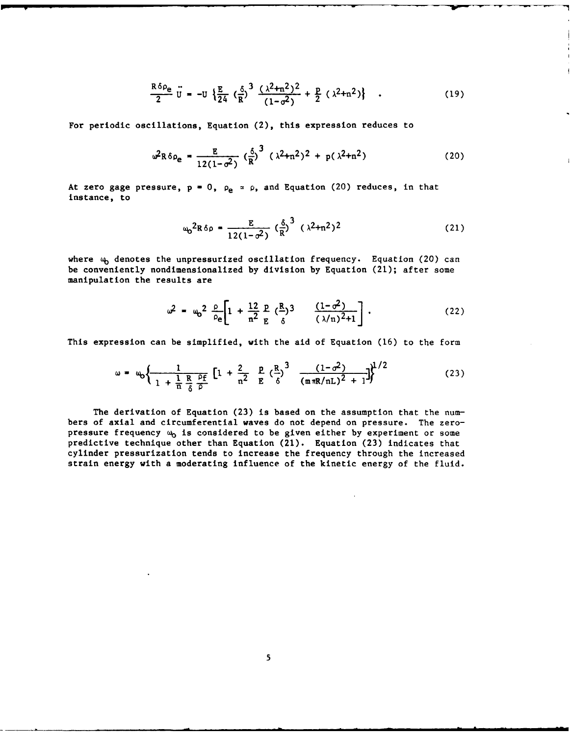$$
\frac{R \delta \rho_e}{2} \ddot{U} = -U \left\{ \frac{E}{24} \left( \frac{\delta}{R} \right)^3 \frac{(\lambda^2 + n^2)^2}{(1 - \sigma^2)} + \frac{P}{2} (\lambda^2 + n^2) \right\} \quad . \tag{19}
$$

For periodic oscillations, Equation (2), this expression reduces to

$$
\omega^2 R \delta \rho_e = \frac{E}{12(1-\sigma^2)} \left(\frac{\delta}{R}\right)^3 \left(\lambda^2 + n^2\right)^2 + p(\lambda^2 + n^2) \tag{20}
$$

At zero gage pressure,  $p = 0$ ,  $p_e \approx p$ , and Equation (20) reduces, in that instance, to

$$
\omega_0^2 R \delta \rho = \frac{E}{12(1-\sigma^2)} \left(\frac{\delta}{R}\right)^3 (\lambda^2 + n^2)^2
$$
 (21)

where  $\omega_{\text{b}}$  denotes the unpressurized oscillation frequency. Equation (20) can be conveniently nondimensionalized by division by Equation (21); after some manipulation the results are

$$
\omega^{2} = \omega_{0}^{2} \frac{\rho}{\rho_{e}} \left[ 1 + \frac{12}{n^{2}} \frac{p}{E} (\frac{R}{\delta})^{3} + \frac{(1 - \sigma^{2})}{(\lambda/n)^{2} + 1} \right].
$$
 (22)

This expression can be simplified, with the aid of Equation (16) to the form

$$
\omega = \omega_0 \left\{ \frac{1}{1 + \frac{1}{n} \frac{R}{6} \frac{\rho_f}{\rho}} \left[ 1 + \frac{2}{n^2} \frac{P}{E} \left( \frac{R}{\delta} \right)^3 - \frac{(1 - \sigma^2)}{(m \pi R/nL)^2 + 1} \right] \right\}^{1/2}
$$
(23)

The derivation of Equation (23) is based on the assumption that the numbers of axial and circumferential waves do not depend on pressure. The zeropressure frequency  $\omega_0$  is considered to be given either by experiment or some predictive technique other than Equation (21). Equation (23) indicates that cylinder pressurization tends to increase the frequency through the increased strain energy with a moderating influence of the kinetic energy of the fluid.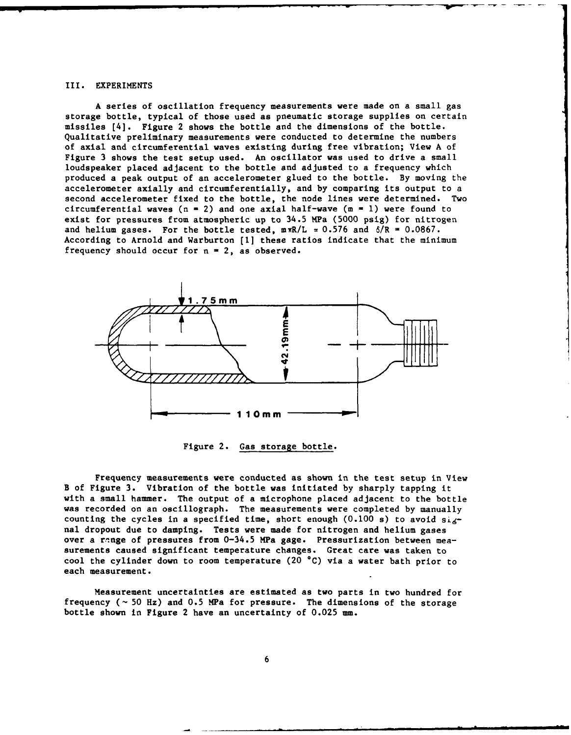#### III. EXPERIMENTS

A series of oscillation frequency measurements were made on a small gas storage bottle, typical of those used as pneumatic storage supplies on certain missiles [4]. Figure 2 shows the bottle and the dimensions of the bottle. Qualitative preliminary measurements were conducted to determine the numbers of axial and circumferential waves existing during free vibration; View A of Figure 3 shows the test setup used. An oscillator was used to drive a small loudspeaker placed adjacent to the bottle and adjusted to a frequency which produced a peak output of an accelerometer glued to the bottle. By moving the accelerometer axially and circumferentially, and by comparing its output to a second accelerometer fixed to the bottle, the node lines were determined. Two circumferential waves  $(n = 2)$  and one axial half-wave  $(m = 1)$  were found to exist for pressures from atmospheric up to 34.5 MPa (5000 psig) for nitrogen and helium gases. For the bottle tested,  $m\pi R/L \approx 0.576$  and  $\delta/R = 0.0867$ . According to Arnold and Warburton **[11** these ratios indicate that the minimum frequency should occur for  $n = 2$ , as observed.



Figure 2. Gas storage bottle.

Frequency measurements were conducted as shown in the test setup in View B of Figure 3. Vibration of the bottle was initiated by sharply tapping it with a small hammer. The output of a microphone placed adjacent to the bottle was recorded on an oscillograph. The measurements were completed by manually counting the cycles in a specified time, short enough (0.100 s) to avoid  $s_{\text{Lg}}$ nal dropout due to damping. Tests were made for nitrogen and helium gases over a range of pressures from 0-34.5 MPa gage. Pressurization between measurements caused significant temperature changes. Great care was taken to cool the cylinder down to room temperature (20 **\*C)** via a water bath prior to each measurement.

Measurement uncertainties are estimated as two parts in two hundred for frequency **(-** 50 Hz) and 0.5 MPa for pressure. The dimensions of the storage bottle shown in Figure 2 have an uncertainty of 0.025 mm.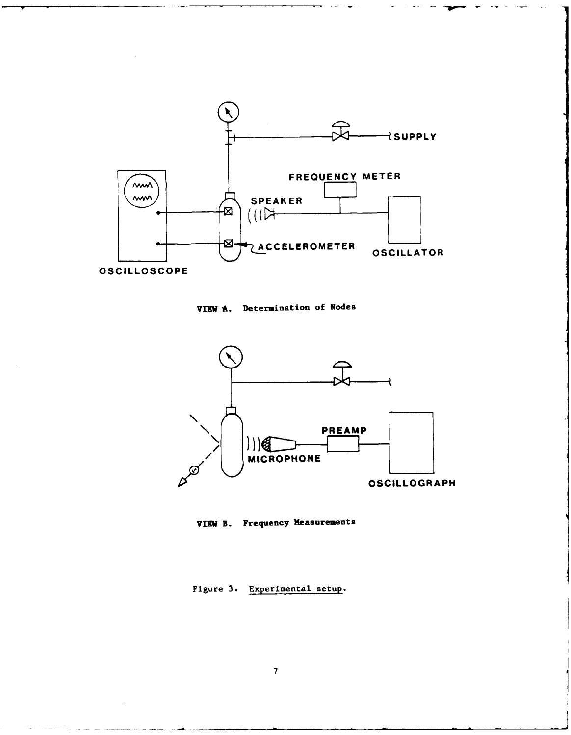

VIEW A. Determination of Nodes



VIEW B. Frequency Measurements

Figure 3. Experimental setup.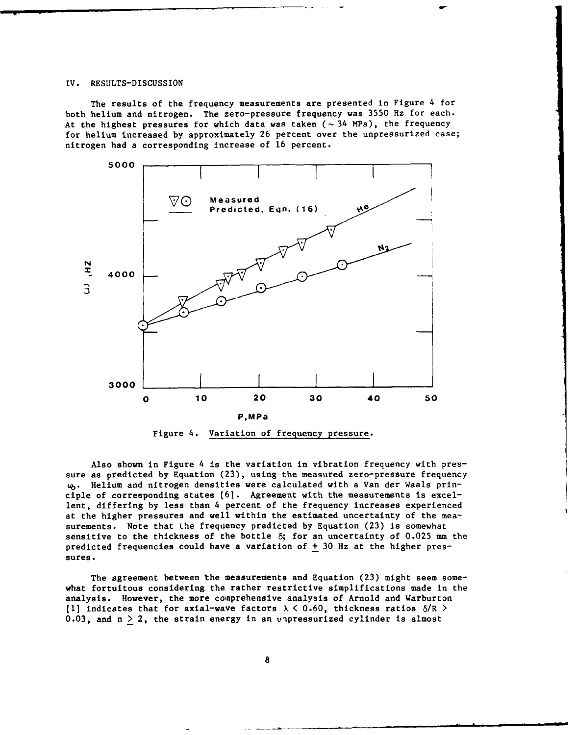#### IV. RESULTS-DISCUSSION

The results of the frequency measurements are presented in Figure 4 for both helium and nitrogen. The zero-pressure frequency was 3550 Hz for each. At the highest pressures for which data was taken (~34 MPa), the frequency for helium increased by approximately 26 percent over the unpressurized case; nitrogen had a corresponding increase of 16 percent.



Also shown in Figure 4 is the variation in vibration frequency with pressure as predicted by Equation (23), using the measured zero-pressure frequency **i.** Helium and nitrogen densities were calculated with a Van der Waals principle of corresponding states **[6].** Agreement with the measurements is excellent, differing by less than 4 percent of the frequency increases experienced at the higher pressures and well within the estimated uncertainty of the measurements. Note that the frequency predicted by Equation (23) is somewhat sensitive to the thickness of the bottle **6;** for an uncertainty of 0.025 mm the predicted frequencies could have a variation of  $\pm$  30 Hz at the higher pressures.

The agreement between the measurements and Equation (23) might seem somewhat fortuitous considering the rather restrictive simplifications made in the analysis. However, the more comprehensive analysis of Arnold and Warburton [1] indicates that for axial-wave factors  $\lambda < 0.60$ , thickness ratios  $\delta/R >$ 0.03, and  $n > 2$ , the strain energy in an unpressurized cylinder is almost

**8**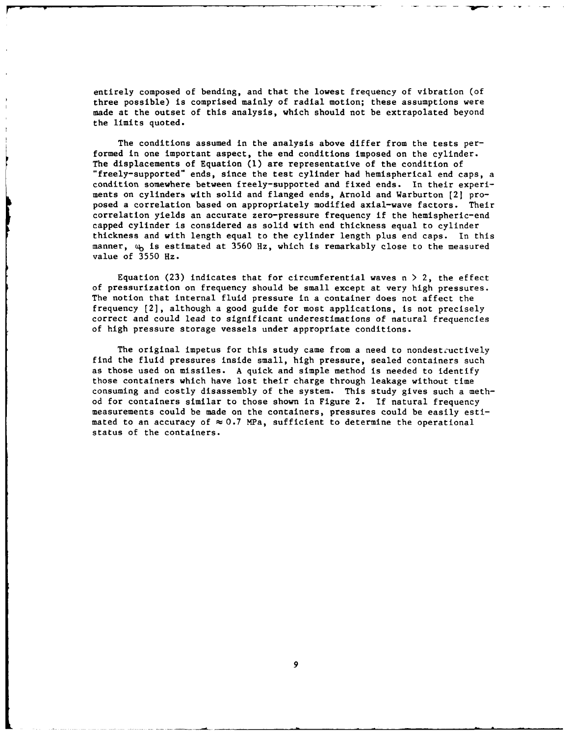entirely composed of bending, and that the lowest frequency of vibration (of three possible) is comprised mainly of radial motion; these assumptions were made at the outset of this analysis, which should not be extrapolated beyond the limits quoted.

The conditions assumed in the analysis above differ from the tests performed in one important aspect, the end conditions imposed on the cylinder. The displacements of Equation (I) are representative of the condition of "freely-supported" ends, since the test cylinder had hemispherical end caps, a condition somewhere between freely-supported and fixed ends. In their experiments on cylinders with solid and flanged ends, Arnold and Warburton [2] proposed a correlation based on appropriately modified axial-wave factors. Their correlation yields an accurate zero-pressure frequency if the hemispheric-end capped cylinder is considered as solid with end thickness equal to cylinder thickness and with length equal to the cylinder length plus end caps. In this manner,  $\omega_{\mathbf{b}}$  is estimated at 3560 Hz, which is remarkably close to the measured value of 3550 Hz.

Equation (23) indicates that for circumferential waves  $n > 2$ , the effect of pressurization on frequency should be small except at very high pressures. The notion that internal fluid pressure in a container does not affect the frequency [2], although a good guide for most applications, is not precisely correct and could lead to significant underestimations of natural frequencies of high pressure storage vessels under appropriate conditions.

The original impetus for this study came from a need to nondestructively find the fluid pressures inside small, high pressure, sealed containers such as those used on missiles. A quick and simple method is needed to identify those containers which have lost their charge through leakage without time consuming and costly disassembly of the system. This study gives such a method for containers similar to those shown in Figure 2. If natural frequency measurements could be made on the containers, pressures could be easily estimated to an accuracy of  $\approx 0.7$  MPa, sufficient to determine the operational status of the containers.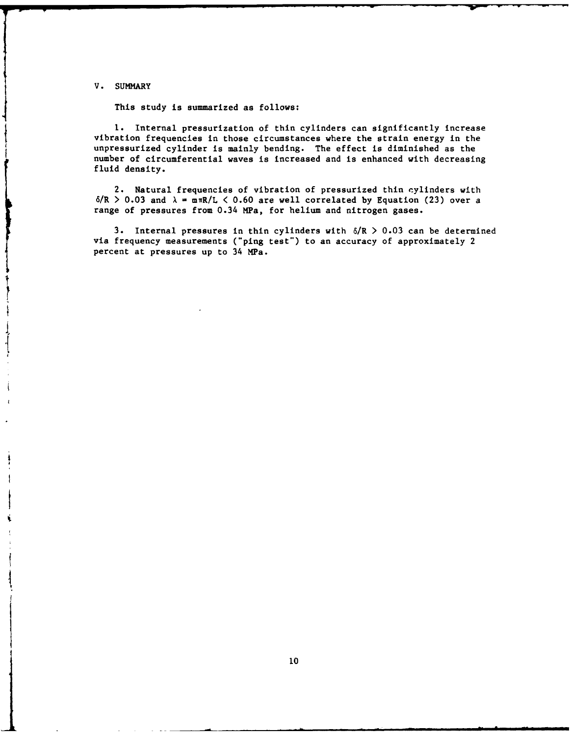V. SUMMARY

This study is summarized as follows:

**1.** Internal pressurization of thin cylinders can significantly increase vibration frequencies in those circumstances where the strain energy in the unpressurized cylinder is mainly bending. The effect is diminished as the number of circumferential waves is increased and is enhanced with decreasing fluid density.

2. Natural frequencies of vibration of pressurized thin cylinders with  $6/R > 0.03$  and  $\lambda = \text{mR/L} < 0.60$  are well correlated by Equation (23) over a range of pressures from 0.34 MPa, for helium and nitrogen gases.

3. Internal pressures in thin cylinders with  $6/R > 0.03$  can be determined via frequency measurements ("ping test") to an accuracy of approximately 2 percent at pressures up to 34 MPa.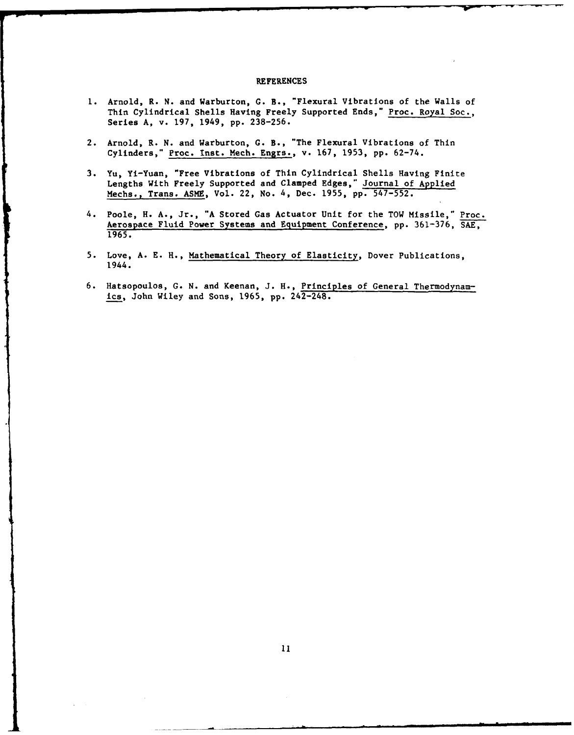### REFERENCES

- **1.** Arnold, R. N. and Warburton, **G.** B., "Flexural Vibrations of the Walls of Thin Cylindrical Shells Having Freely Supported Ends," Proc. Royal Soc., Series A, v. 197, 1949, pp. 238-256.
- 2. Arnold, R. N. and Warburton, G. B., "The Flexural Vibrations of Thin Cylinders," Proc. Inst. Mech. Engrs., v. 167, 1953, pp. 62-74.
- 3. Yu, Yi-Yuan, "Free Vibrations of Thin Cylindrical Shells Having Finite Lengths With Freely Supported and Clamped Edges," Journal of Applied Mechs., Trans. ASME, Vol. 22, No. 4, Dec. 1955, pp. 547-552.
- 4. Poole, H. A., Jr., "A Stored Gas Actuator Unit for the TOW Missile," Proc. Aerospace Fluid Power Systems and Equipment Conference, pp. 361-376, SAE, 1965.
- 5. Love, A. E. H., Mathematical Theory of Elasticity, Dover Publications, 1944.
- 6. Hatsopoulos, G. N. and Keenan, J. H., Principles of General Thermodynamics, John Wiley and Sons, 1965, pp. 242-248.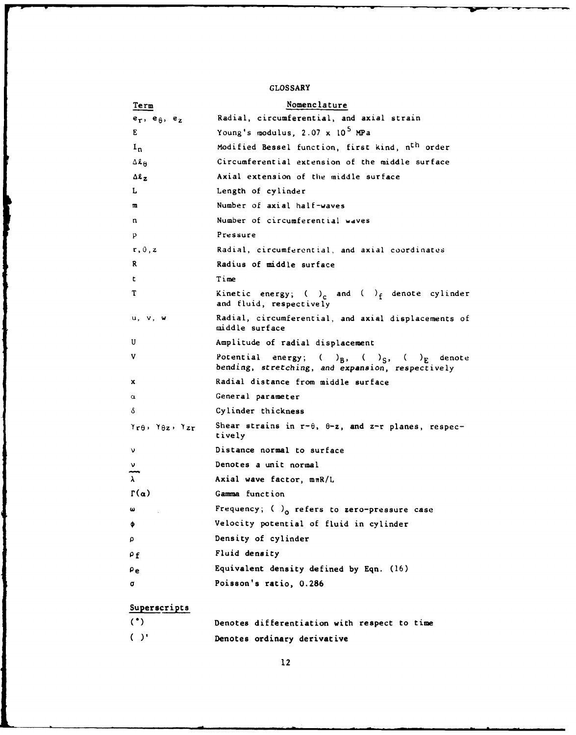# GLOSSARY

| Term                                                                                        | Nomenclature                                                                                                         |
|---------------------------------------------------------------------------------------------|----------------------------------------------------------------------------------------------------------------------|
| $e_{\tau}$ , $e_{\theta}$ , $e_{z}$                                                         | Radial, circumferential, and axial strain                                                                            |
| E                                                                                           | Young's modulus, 2.07 x 10 <sup>5</sup> MPa                                                                          |
| $I_n$                                                                                       | Modified Bessel function, first kind, n <sup>th</sup> order                                                          |
| $\Delta$ l <sub><math>\theta</math></sub>                                                   | Circumferential extension of the middle surface                                                                      |
| $\Delta \ell_z$                                                                             | Axial extension of the middle surface                                                                                |
| L                                                                                           | Length of cylinder                                                                                                   |
| m                                                                                           | Number of axial half-waves                                                                                           |
| n                                                                                           | Number of circumferential waves                                                                                      |
| p                                                                                           | Pressure                                                                                                             |
| r, 0, z                                                                                     | Radial, circumferential, and axial coordinates                                                                       |
| R                                                                                           | Radius of middle surface                                                                                             |
| t.                                                                                          | Time                                                                                                                 |
| т                                                                                           | Kinetic energy; ( ) <sub>c</sub> and ( ) <sub>f</sub> denote cylinder<br>and fluid, respectively                     |
| u, v, w                                                                                     | Radial, circumferential, and axial displacements of<br>middle surface                                                |
| U                                                                                           | Amplitude of radial displacement                                                                                     |
| V                                                                                           | Potential<br>energy; $(\_)_{B}$ , $(\_)_{S}$ , $(\_)_{E}$ denote<br>bending, stretching, and expansion, respectively |
| x                                                                                           | Radial distance from middle surface                                                                                  |
| $\alpha$                                                                                    | General parameter                                                                                                    |
| δ                                                                                           | Cylinder thickness                                                                                                   |
| $\gamma_{\mathbf{r}\theta}$ , $\gamma_{\theta\mathbf{z}}$ , $\gamma_{\mathbf{z}\mathbf{r}}$ | Shear strains in $r-\theta$ , $\theta-z$ , and $z-r$ planes, respec-<br>tively                                       |
| ν                                                                                           | Distance normal to surface                                                                                           |
| ν                                                                                           | Denotes a unit normal                                                                                                |
| $\lambda$                                                                                   | Axial wave factor, $m\pi R/L$                                                                                        |
| $\Gamma(\alpha)$                                                                            | Gamma function                                                                                                       |
| ω                                                                                           | Frequency; $\left(\right)$ o refers to zero-pressure case                                                            |
| Φ                                                                                           | Velocity potential of fluid in cylinder                                                                              |
| ρ                                                                                           | Density of cylinder                                                                                                  |
| $\rho_f$                                                                                    | Fluid density                                                                                                        |
| ρe                                                                                          | Equivalent density defined by Eqn. (16)                                                                              |
| σ                                                                                           | Poisson's ratio, 0.286                                                                                               |
| Superscripts                                                                                |                                                                                                                      |
|                                                                                             |                                                                                                                      |

|<br>|<br>|

(\*) Denotes differentiation with respect to time ( )' Denotes ordinary derivative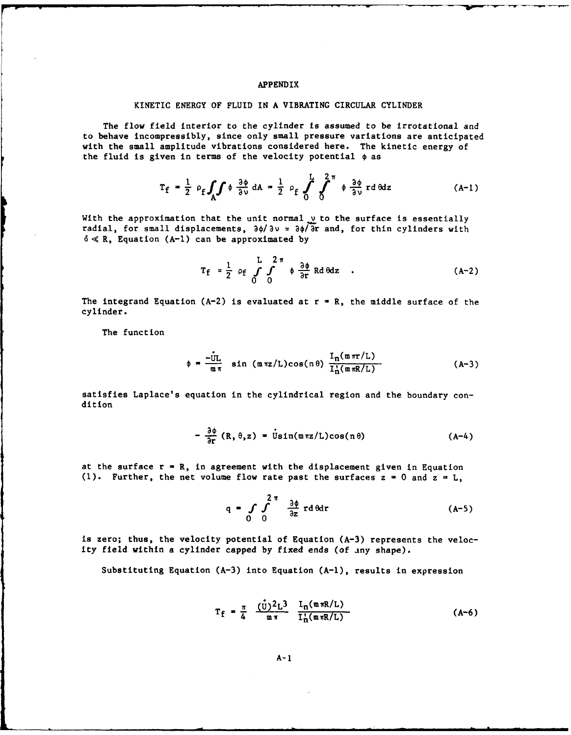## APPENDIX

### KINETIC ENERGY OF FLUID IN A VIBRATING CIRCULAR CYLINDER

The flow field interior to the cylinder is assumed to be irrotational and to behave incompressibly, since only small pressure variations are anticipated with the small amplitude vibrations considered here. The kinetic energy of the fluid is given in terms of the velocity potential  $\phi$  as

$$
T_f = \frac{1}{2} \rho_f \int_A \int \phi \frac{\partial \phi}{\partial \nu} dA = \frac{1}{2} \rho_f \int_0^L \int_0^{2\pi} \phi \frac{\partial \phi}{\partial \nu} r d\theta dz
$$
 (A-1)

With the approximation that the unit normal  $\nu$  to the surface is essentially radial, for small displacements,  $\partial \phi / \partial v = \partial \phi / \partial r$  and, for thin cylinders with  $6 \ll R$ , Equation (A-1) can be approximated by

$$
T_f = \frac{1}{2} \rho_f \int_{0}^{L} \int_{0}^{2\pi} \phi \frac{\partial \phi}{\partial r} R d\theta dz
$$
 (A-2)

The integrand Equation (A-2) is evaluated at  $r = R$ , the middle surface of the cylinder.

The function

$$
\phi = \frac{-\dot{U}L}{m \pi} \sin (\pi \pi z/L) \cos(n\theta) \frac{I_n(\pi \pi r/L)}{I_n'(\pi \pi R/L)}
$$
 (A-3)

satisfies Laplace's equation in the cylindrical region and the boundary condition

$$
-\frac{\partial \phi}{\partial r} (R, \theta, z) = \dot{U} \sin(\pi \pi z/L) \cos(n \theta)
$$
 (A-4)

at the surface r **-** R, in agreement with the displacement given in Equation (1). Further, the net volume flow rate past the surfaces  $z = 0$  and  $z = L$ ,

$$
q = \int_{0}^{2\pi} \int_{0}^{\frac{3\phi}{2\pi}} r d\theta dr
$$
 (A-5)

is zero; thus, the velocity potential of Equation (A-3) represents the velocity field within a cylinder capped by fixed ends (of any shape).

Substituting Equation  $(A-3)$  into Equation  $(A-1)$ , results in expression

$$
T_{f} = \frac{\pi}{4} \frac{(\dot{U})^2 L^3}{m \pi} \frac{I_n(m \pi R/L)}{I_n'(m \pi R/L)}
$$
 (A-6)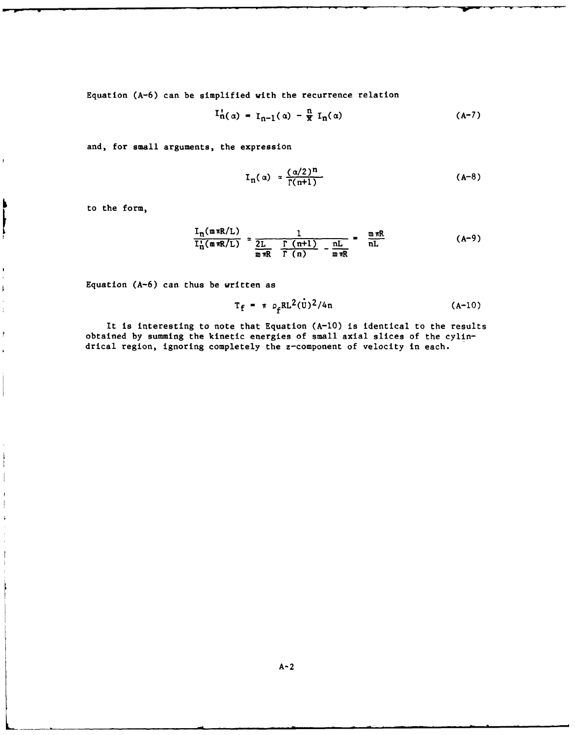Equation (A-6) can be simplified with the recurrence relation

$$
I_{n(\alpha)}^{*} = I_{n-1}(\alpha) - \frac{n}{x} I_{n}(\alpha) \qquad (A-7)
$$

and, for small arguments, the expression

$$
I_n(\alpha) \approx \frac{(\alpha/2)^n}{\Gamma(n+1)}
$$
 (A-8)

to the form,

ħ

 $\mathbf{r}$ 

 $\overline{1}$ 

 $\bar{1}$ 

ľ

$$
\frac{I_n(\text{m} \pi R/L)}{I_n^1(\text{m} \pi R/L)} \approx \frac{1}{2L \frac{\Gamma(\text{m}+1)}{\Gamma(\text{n})} - \frac{nL}{\text{m} \pi R}} = \frac{\text{m} \pi R}{nL}
$$
 (A-9)

Equation (A-6) can thus be written as

$$
T_f = \pi \rho_f R L^2(\dot{U})^2 / 4n
$$
 (A-10)

It is interesting to note that Equation (A-10) is identical to the results obtained by summing the kinetic energies of small axial slices of the cylindrical region, ignoring completely the z-component of velocity in each.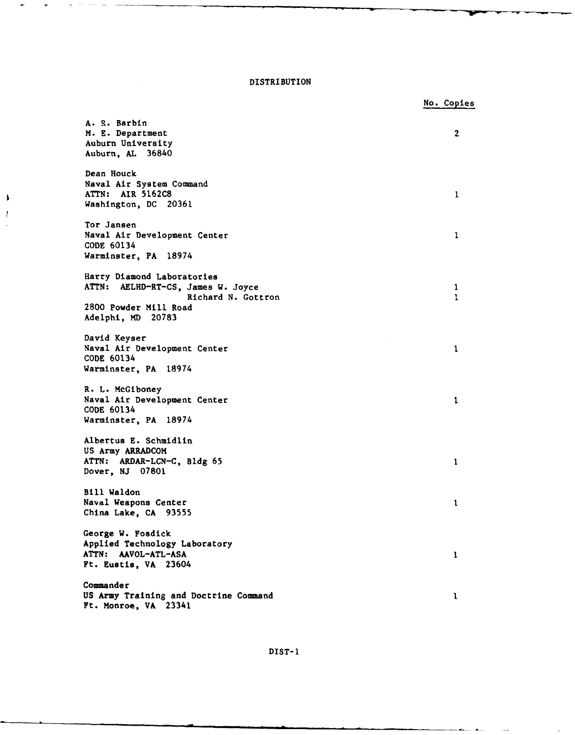## DISTRIBUTION

f, Ī

No. Copies A. R. Barbin M. E. Department 2 Auburn University Auburn, AL 36840 Dean Houck Naval Air System Command ATTN: AIR 5162C8 **1** Washington, DC 20361 Tor Jansen Naval Air Development Center **I** CODE 60134 Warminster, PA 18974 Harry Diamond Laboratories ATTN: AELHD-RT-CS, James W. Joyce 1 Richard N. Gottron 1 2800 Powder Mill Road Adelphi, MD 20783 David Keyser Naval Air Development Center **I** CODE 60134 Warminster, PA 18974 R. L. McGiboney Naval Air Development Center **I** CODE 60134 Warminster, PA 18974 Albertus E. Schmidlin US Army ARRADCOM ATTN: ARDAR-LCN-C, Bldg 65 **1** Dover, NJ 07801 Bill Waldon Naval Weapons Center **I** China Lake, CA 93555 George W. Fosdick Applied Technology Laboratory ATTN: AAVOL-ATL-ASA **I** Ft. Eustis, VA 23604 **Commander** US Army Training and Doctrine Command **<sup>1</sup>** Ft. Monroe, VA 23341